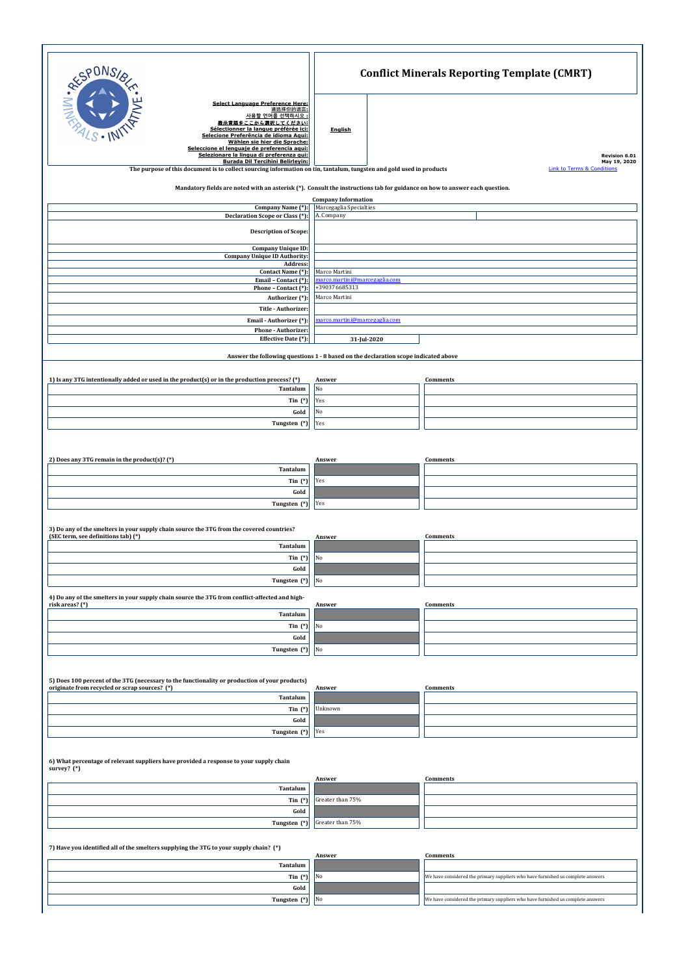**Gold Tungsten** (\*) Yes

| <b>RESPONSIB</b>                                                                                                                 | <b>Conflict Minerals Reporting Template (CMRT)</b>                                                                            |  |  |
|----------------------------------------------------------------------------------------------------------------------------------|-------------------------------------------------------------------------------------------------------------------------------|--|--|
|                                                                                                                                  |                                                                                                                               |  |  |
| <b>Select Language Preference Here:</b><br>请选择你的语言:                                                                              |                                                                                                                               |  |  |
| 사용할 언어를 선택하시오                                                                                                                    |                                                                                                                               |  |  |
| 表示言語をここから選択してください:<br>Sélectionner la langue préférée ici:                                                                       |                                                                                                                               |  |  |
| Selecione Preferência de idioma Aqui:                                                                                            | <b>English</b>                                                                                                                |  |  |
| Wählen sie hier die Sprache:                                                                                                     |                                                                                                                               |  |  |
| Seleccione el lenguaje de preferencia aqui:                                                                                      |                                                                                                                               |  |  |
| Selezionare la lingua di preferenza qui:<br><b>Burada Dil Tercihini Belirleyin:</b>                                              | Revision 6.01<br>May 19, 2020                                                                                                 |  |  |
| The purpose of this document is to collect sourcing information on tin, tantalum, tungsten and gold used in products             | Link to Terms & Conditions                                                                                                    |  |  |
|                                                                                                                                  | Mandatory fields are noted with an asterisk $(*)$ . Consult the instructions tab for guidance on how to answer each question. |  |  |
|                                                                                                                                  | <b>Company Information</b><br>Marcegaglia Specialties                                                                         |  |  |
| Company Name (*):<br>Declaration Scope or Class (*):                                                                             | A. Company                                                                                                                    |  |  |
| <b>Description of Scope:</b>                                                                                                     |                                                                                                                               |  |  |
|                                                                                                                                  |                                                                                                                               |  |  |
| <b>Company Unique ID:</b>                                                                                                        |                                                                                                                               |  |  |
| <b>Company Unique ID Authority:</b>                                                                                              |                                                                                                                               |  |  |
| <b>Address:</b>                                                                                                                  |                                                                                                                               |  |  |
| Contact Name (*):                                                                                                                | Marco Martini                                                                                                                 |  |  |
| Email - Contact (*):                                                                                                             | marco.martini@marcegaglia.com                                                                                                 |  |  |
| Phone - Contact (*):                                                                                                             | +390376685313                                                                                                                 |  |  |
| Authorizer (*):                                                                                                                  | Marco Martini                                                                                                                 |  |  |
| Title - Authorizer:                                                                                                              |                                                                                                                               |  |  |
| Email - Authorizer (*):                                                                                                          | marco.martini@marcegaglia.com                                                                                                 |  |  |
| Phone - Authorizer:                                                                                                              |                                                                                                                               |  |  |
| Effective Date (*):                                                                                                              |                                                                                                                               |  |  |
|                                                                                                                                  | 31-Jul-2020                                                                                                                   |  |  |
|                                                                                                                                  | Answer the following questions 1 - 8 based on the declaration scope indicated above                                           |  |  |
| 1) Is any 3TG intentionally added or used in the product(s) or in the production process? (*)                                    | <b>Comments</b><br>Answer                                                                                                     |  |  |
| <b>Tantalum</b>                                                                                                                  | $\overline{\text{No}}$                                                                                                        |  |  |
| Tin $(*)$                                                                                                                        | Yes                                                                                                                           |  |  |
|                                                                                                                                  |                                                                                                                               |  |  |
| Gold                                                                                                                             | No                                                                                                                            |  |  |
| Tungsten (*)                                                                                                                     | <b>Yes</b>                                                                                                                    |  |  |
| 2) Does any 3TG remain in the product(s)? (*)                                                                                    | <b>Comments</b><br>Answer                                                                                                     |  |  |
| Tantalum                                                                                                                         |                                                                                                                               |  |  |
| Tin $(*)$                                                                                                                        | Yes                                                                                                                           |  |  |
| Gold                                                                                                                             |                                                                                                                               |  |  |
|                                                                                                                                  |                                                                                                                               |  |  |
| Tungsten (*)                                                                                                                     | <b>Yes</b>                                                                                                                    |  |  |
| 3) Do any of the smelters in your supply chain source the 3TG from the covered countries?<br>(SEC term, see definitions tab) (*) | <b>Comments</b><br>Answer                                                                                                     |  |  |
| Tantalum                                                                                                                         |                                                                                                                               |  |  |
| Tin $(*)$                                                                                                                        | $\sqrt{NQ}$                                                                                                                   |  |  |
|                                                                                                                                  |                                                                                                                               |  |  |
| Gold                                                                                                                             |                                                                                                                               |  |  |
| Tungsten (*)                                                                                                                     | N <sub>o</sub>                                                                                                                |  |  |
| 4) Do any of the smelters in your supply chain source the 3TG from conflict-affected and high-<br>risk areas? (*)                | Answer<br><b>Comments</b>                                                                                                     |  |  |
| Tantalum                                                                                                                         |                                                                                                                               |  |  |
| Tin $(*)$                                                                                                                        | N <sub>0</sub>                                                                                                                |  |  |
|                                                                                                                                  |                                                                                                                               |  |  |
| Gold                                                                                                                             |                                                                                                                               |  |  |
| Tungsten (*)                                                                                                                     | N <sub>0</sub>                                                                                                                |  |  |
|                                                                                                                                  |                                                                                                                               |  |  |
| 5) Does 100 percent of the 3TG (necessary to the functionality or production of your products)                                   |                                                                                                                               |  |  |
| originate from recycled or scrap sources? (*)                                                                                    | Answer<br><b>Comments</b>                                                                                                     |  |  |
| Tantalum                                                                                                                         |                                                                                                                               |  |  |
| Tin $(*)$                                                                                                                        | Unknown                                                                                                                       |  |  |

**6) What percentage of relevant suppliers have provided a response to your supply chain survey? (\*)**

**7) Have you identified all of the smelters supplying the 3TG to your supply chain? (\*)**

|                          | Answer | Comments                                                                        |
|--------------------------|--------|---------------------------------------------------------------------------------|
| Tantalum                 |        |                                                                                 |
| Tin $(*)$ No             |        | Ve have considered the primary suppliers who have furnished us complete answers |
| Gold                     |        |                                                                                 |
| <b>Tungsten</b> $(*)$ No |        | We have considered the primary suppliers who have furnished us complete answers |

|                 | Answer                                  | Comments |
|-----------------|-----------------------------------------|----------|
| <b>Tantalum</b> |                                         |          |
|                 | <b>Tin</b> $(*)$ Greater than 75%       |          |
| Gold            |                                         |          |
|                 | <b>Tungsten (*)</b> Greater than $75\%$ |          |